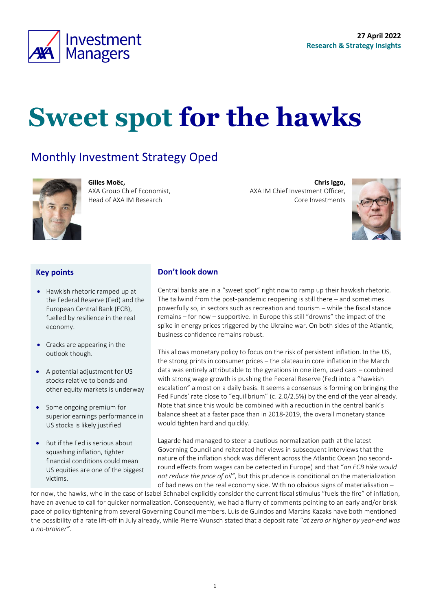

# **Sweet spot for the hawks**

### Monthly Investment Strategy Oped



**Gilles Moëc,** AXA Group Chief Economist, Head of AXA IM Research

**Chris Iggo,**  AXA IM Chief Investment Officer, Core Investments

<span id="page-0-0"></span>

#### **Key points**

- Hawkish rhetoric ramped up at the Federal Reserve (Fed) and the European Central Bank (ECB), fuelled by resilience in the real economy.
- Cracks are appearing in the outlook though.
- A potential adjustment for US stocks relative to bonds and other equity markets is underway
- Some ongoing premium for superior earnings performance in US stocks is likely justified
- But if the Fed is serious about squashing inflation, tighter financial conditions could mean US equities are one of the biggest victims.

#### **Don't look down**

Central banks are in a "sweet spot" right now to ramp up their hawkish rhetoric. The tailwind from the post-pandemic reopening is still there – and sometimes powerfully so, in sectors such as recreation and tourism – while the fiscal stance remains – for now – supportive. In Europe this still "drowns" the impact of the spike in energy prices triggered by the Ukraine war. On both sides of the Atlantic, business confidence remains robust.

This allows monetary policy to focus on the risk of persistent inflation. In the US, the strong prints in consumer prices – the plateau in core inflation in the March data was entirely attributable to the gyrations in one item, used cars – combined with strong wage growth is pushing the Federal Reserve (Fed) into a "hawkish escalation" almost on a daily basis. It seems a consensus is forming on bringing the Fed Funds' rate close to "equilibrium" (c. 2.0/2.5%) by the end of the year already. Note that since this would be combined with a reduction in the central bank's balance sheet at a faster pace than in 2018-2019, the overall monetary stance would tighten hard and quickly.

Lagarde had managed to steer a cautious normalization path at the latest Governing Council and reiterated her views in subsequent interviews that the nature of the inflation shock was different across the Atlantic Ocean (no secondround effects from wages can be detected in Europe) and that "*an ECB hike would not reduce the price of oil"*, but this prudence is conditional on the materialization of bad news on the real economy side. With no obvious signs of materialisation –

for now, the hawks, who in the case of Isabel Schnabel explicitly consider the current fiscal stimulus "fuels the fire" of inflation, have an avenue to call for quicker normalization. Consequently, we had a flurry of comments pointing to an early and/or brisk pace of policy tightening from several Governing Council members. Luis de Guindos and Martins Kazaks have both mentioned the possibility of a rate lift-off in July already, while Pierre Wunsch stated that a deposit rate "*at zero or higher by year-end was a no-brainer"*.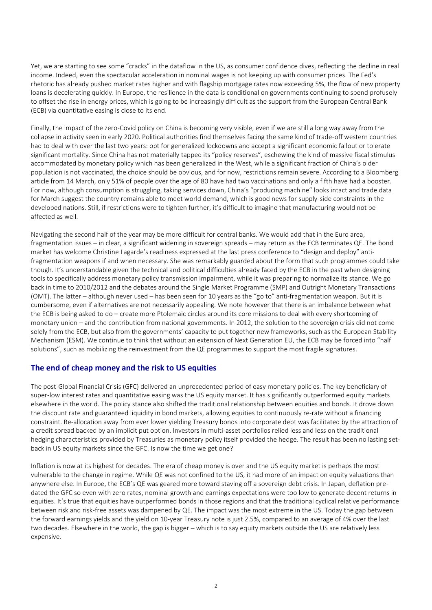Yet, we are starting to see some "cracks" in the dataflow in the US, as consumer confidence dives, reflecting the decline in real income. Indeed, even the spectacular acceleration in nominal wages is not keeping up with consumer prices. The Fed's rhetoric has already pushed market rates higher and with flagship mortgage rates now exceeding 5%, the flow of new property loans is decelerating quickly. In Europe, the resilience in the data is conditional on governments continuing to spend profusely to offset the rise in energy prices, which is going to be increasingly difficult as the support from the European Central Bank (ECB) via quantitative easing is close to its end.

Finally, the impact of the zero-Covid policy on China is becoming very visible, even if we are still a long way away from the collapse in activity seen in early 2020. Political authorities find themselves facing the same kind of trade-off western countries had to deal with over the last two years: opt for generalized lockdowns and accept a significant economic fallout or tolerate significant mortality. Since China has not materially tapped its "policy reserves", eschewing the kind of massive fiscal stimulus accommodated by monetary policy which has been generalized in the West, while a significant fraction of China's older population is not vaccinated, the choice should be obvious, and for now, restrictions remain severe. According to a Bloomberg article from 14 March, only 51% of people over the age of 80 have had two vaccinations and only a fifth have had a booster. For now, although consumption is struggling, taking services down, China's "producing machine" looks intact and trade data for March suggest the country remains able to meet world demand, which is good news for supply-side constraints in the developed nations. Still, if restrictions were to tighten further, it's difficult to imagine that manufacturing would not be affected as well.

Navigating the second half of the year may be more difficult for central banks. We would add that in the Euro area, fragmentation issues – in clear, a significant widening in sovereign spreads – may return as the ECB terminates QE. The bond market has welcome Christine Lagarde's readiness expressed at the last press conference to "design and deploy" antifragmentation weapons if and when necessary. She was remarkably guarded about the form that such programmes could take though. It's understandable given the technical and political difficulties already faced by the ECB in the past when designing tools to specifically address monetary policy transmission impairment, while it was preparing to normalize its stance. We go back in time to 2010/2012 and the debates around the Single Market Programme (SMP) and Outright Monetary Transactions (OMT). The latter – although never used – has been seen for 10 years as the "go to" anti-fragmentation weapon. But it is cumbersome, even if alternatives are not necessarily appealing. We note however that there is an imbalance between what the ECB is being asked to do – create more Ptolemaic circles around its core missions to deal with every shortcoming of monetary union – and the contribution from national governments. In 2012, the solution to the sovereign crisis did not come solely from the ECB, but also from the governments' capacity to put together new frameworks, such as the European Stability Mechanism (ESM). We continue to think that without an extension of Next Generation EU, the ECB may be forced into "half solutions", such as mobilizing the reinvestment from the QE programmes to support the most fragile signatures.

#### **The end of cheap money and the risk to US equities**

The post-Global Financial Crisis (GFC) delivered an unprecedented period of easy monetary policies. The key beneficiary of super-low interest rates and quantitative easing was the US equity market. It has significantly outperformed equity markets elsewhere in the world. The policy stance also shifted the traditional relationship between equities and bonds. It drove down the discount rate and guaranteed liquidity in bond markets, allowing equities to continuously re-rate without a financing constraint. Re-allocation away from ever lower yielding Treasury bonds into corporate debt was facilitated by the attraction of a credit spread backed by an implicit put option. Investors in multi-asset portfolios relied less and less on the traditional hedging characteristics provided by Treasuries as monetary policy itself provided the hedge. The result has been no lasting setback in US equity markets since the GFC. Is now the time we get one?

Inflation is now at its highest for decades. The era of cheap money is over and the US equity market is perhaps the most vulnerable to the change in regime. While QE was not confined to the US, it had more of an impact on equity valuations than anywhere else. In Europe, the ECB's QE was geared more toward staving off a sovereign debt crisis. In Japan, deflation predated the GFC so even with zero rates, nominal growth and earnings expectations were too low to generate decent returns in equities. It's true that equities have outperformed bonds in those regions and that the traditional cyclical relative performance between risk and risk-free assets was dampened by QE. The impact was the most extreme in the US. Today the gap between the forward earnings yields and the yield on 10-year Treasury note is just 2.5%, compared to an average of 4% over the last two decades. Elsewhere in the world, the gap is bigger – which is to say equity markets outside the US are relatively less expensive.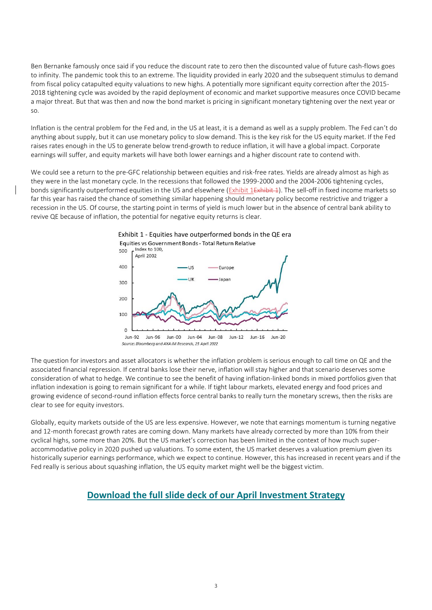Ben Bernanke famously once said if you reduce the discount rate to zero then the discounted value of future cash-flows goes to infinity. The pandemic took this to an extreme. The liquidity provided in early 2020 and the subsequent stimulus to demand from fiscal policy catapulted equity valuations to new highs. A potentially more significant equity correction after the 2015- 2018 tightening cycle was avoided by the rapid deployment of economic and market supportive measures once COVID became a major threat. But that was then and now the bond market is pricing in significant monetary tightening over the next year or so.

Inflation is the central problem for the Fed and, in the US at least, it is a demand as well as a supply problem. The Fed can't do anything about supply, but it can use monetary policy to slow demand. This is the key risk for the US equity market. If the Fed raises rates enough in the US to generate below trend-growth to reduce inflation, it will have a global impact. Corporate earnings will suffer, and equity markets will have both lower earnings and a higher discount rate to contend with.

We could see a return to the pre-GFC relationship between equities and risk-free rates. Yields are already almost as high as they were in the last monetary cycle. In the recessions that followed the 1999-2000 and the 2004-2006 tightening cycles, bonds significantly outperformed equities in the US and elsewhere [\(Exhibit 1Exhibit 1\)](#page-2-0). The sell-off in fixed income markets so far this year has raised the chance of something similar happening should monetary policy become restrictive and trigger a recession in the US. Of course, the starting point in terms of yield is much lower but in the absence of central bank ability to revive QE because of inflation, the potential for negative equity returns is clear.

<span id="page-2-0"></span>

Source: Bloomberg and AXA IM Research, 25 April 2022

The question for investors and asset allocators is whether the inflation problem is serious enough to call time on QE and the associated financial repression. If central banks lose their nerve, inflation will stay higher and that scenario deserves some consideration of what to hedge. We continue to see the benefit of having inflation-linked bonds in mixed portfolios given that inflation indexation is going to remain significant for a while. If tight labour markets, elevated energy and food prices and growing evidence of second-round inflation effects force central banks to really turn the monetary screws, then the risks are clear to see for equity investors.

Globally, equity markets outside of the US are less expensive. However, we note that earnings momentum is turning negative and 12-month forecast growth rates are coming down. Many markets have already corrected by more than 10% from their cyclical highs, some more than 20%. But the US market's correction has been limited in the context of how much superaccommodative policy in 2020 pushed up valuations. To some extent, the US market deserves a valuation premium given its historically superior earnings performance, which we expect to continue. However, this has increased in recent years and if the Fed really is serious about squashing inflation, the US equity market might well be the biggest victim.

### **[Download the full slide deck of our April](https://axa-im.com/sites/default/files/insight/pdf/axa-im-research-strategy-deck-en-2022-04.pdf) Investment Strategy**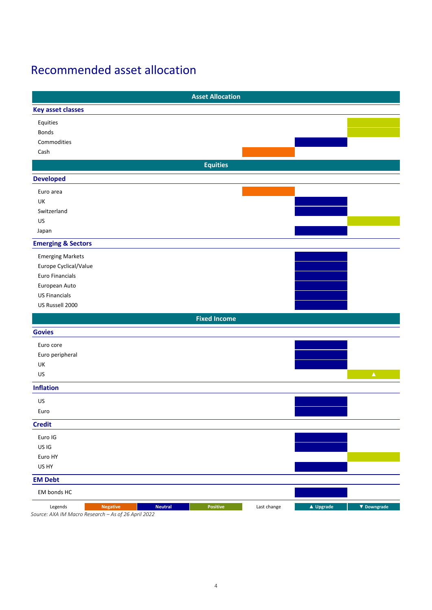### Recommended asset allocation

| <b>Asset Allocation</b>                                                                                                                |                     |             |
|----------------------------------------------------------------------------------------------------------------------------------------|---------------------|-------------|
| <b>Key asset classes</b>                                                                                                               |                     |             |
| Equities                                                                                                                               |                     |             |
| Bonds                                                                                                                                  |                     |             |
| Commodities                                                                                                                            |                     |             |
| Cash                                                                                                                                   |                     |             |
| <b>Equities</b>                                                                                                                        |                     |             |
| <b>Developed</b>                                                                                                                       |                     |             |
| Euro area                                                                                                                              |                     |             |
| UK                                                                                                                                     |                     |             |
| Switzerland                                                                                                                            |                     |             |
| US                                                                                                                                     |                     |             |
| Japan                                                                                                                                  |                     |             |
| <b>Emerging &amp; Sectors</b>                                                                                                          |                     |             |
| <b>Emerging Markets</b>                                                                                                                |                     |             |
| Europe Cyclical/Value                                                                                                                  |                     |             |
| Euro Financials                                                                                                                        |                     |             |
| European Auto                                                                                                                          |                     |             |
| <b>US Financials</b>                                                                                                                   |                     |             |
| US Russell 2000                                                                                                                        |                     |             |
| <b>Fixed Income</b>                                                                                                                    |                     |             |
| <b>Govies</b>                                                                                                                          |                     |             |
| Euro core                                                                                                                              |                     |             |
| Euro peripheral                                                                                                                        |                     |             |
| UK                                                                                                                                     |                     |             |
| US                                                                                                                                     |                     | $\Delta$    |
| <b>Inflation</b>                                                                                                                       |                     |             |
| US                                                                                                                                     |                     |             |
| Euro                                                                                                                                   |                     |             |
| <b>Credit</b>                                                                                                                          |                     |             |
| Euro IG                                                                                                                                |                     |             |
| US IG                                                                                                                                  |                     |             |
| Euro HY                                                                                                                                |                     |             |
| US HY                                                                                                                                  |                     |             |
| <b>EM Debt</b>                                                                                                                         |                     |             |
| EM bonds HC                                                                                                                            |                     |             |
| <b>Positive</b><br><b>Neutral</b><br>Last change<br>Legends<br><b>Negative</b><br>$Source: AVA IMAMagco Paccarch - Acof 26 April 2022$ | $\triangle$ Upgrade | ▼ Downgrade |

*Source: AXA IM Macro Research – As of 26 April 2022*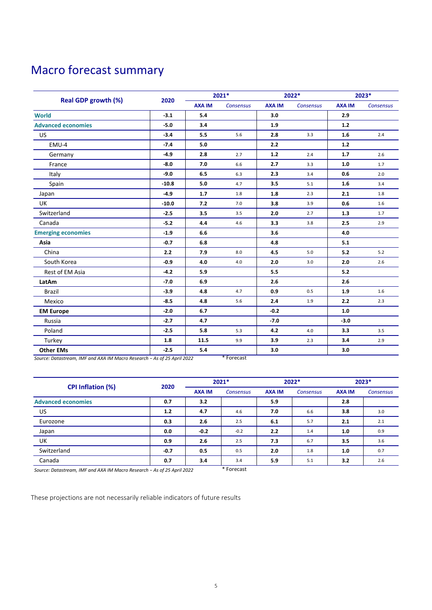## Macro forecast summary

| <b>Real GDP growth (%)</b> |         | 2021*         |                  | 2022*         |                  | 2023*         |                  |
|----------------------------|---------|---------------|------------------|---------------|------------------|---------------|------------------|
|                            | 2020    | <b>AXA IM</b> | <b>Consensus</b> | <b>AXA IM</b> | <b>Consensus</b> | <b>AXA IM</b> | <b>Consensus</b> |
| <b>World</b>               | $-3.1$  | 5.4           |                  | 3.0           |                  | 2.9           |                  |
| <b>Advanced economies</b>  | $-5.0$  | 3.4           |                  | 1.9           |                  | $1.2$         |                  |
| <b>US</b>                  | $-3.4$  | 5.5           | 5.6              | 2.8           | 3.3              | 1.6           | 2.4              |
| EMU-4                      | $-7.4$  | 5.0           |                  | 2.2           |                  | $1.2$         |                  |
| Germany                    | $-4.9$  | 2.8           | 2.7              | $1.2$         | 2.4              | $1.7$         | 2.6              |
| France                     | $-8.0$  | 7.0           | 6.6              | 2.7           | 3.3              | 1.0           | 1.7              |
| Italy                      | $-9.0$  | 6.5           | 6.3              | 2.3           | 3.4              | 0.6           | 2.0              |
| Spain                      | $-10.8$ | 5.0           | 4.7              | 3.5           | 5.1              | 1.6           | 3.4              |
| Japan                      | $-4.9$  | 1.7           | 1.8              | 1.8           | 2.3              | 2.1           | 1.8              |
| <b>UK</b>                  | $-10.0$ | 7.2           | 7.0              | 3.8           | 3.9              | 0.6           | 1.6              |
| Switzerland                | $-2.5$  | 3.5           | 3.5              | 2.0           | 2.7              | 1.3           | 1.7              |
| Canada                     | $-5.2$  | 4.4           | 4.6              | 3.3           | 3.8              | 2.5           | 2.9              |
| <b>Emerging economies</b>  | $-1.9$  | 6.6           |                  | 3.6           |                  | 4.0           |                  |
| Asia                       | $-0.7$  | 6.8           |                  | 4.8           |                  | 5.1           |                  |
| China                      | 2.2     | 7.9           | 8.0              | 4.5           | 5.0              | 5.2           | 5.2              |
| South Korea                | $-0.9$  | 4.0           | 4.0              | 2.0           | 3.0              | 2.0           | 2.6              |
| Rest of EM Asia            | $-4.2$  | 5.9           |                  | 5.5           |                  | 5.2           |                  |
| LatAm                      | $-7.0$  | 6.9           |                  | 2.6           |                  | 2.6           |                  |
| <b>Brazil</b>              | $-3.9$  | 4.8           | 4.7              | 0.9           | 0.5              | 1.9           | 1.6              |
| Mexico                     | $-8.5$  | 4.8           | 5.6              | 2.4           | 1.9              | 2.2           | 2.3              |
| <b>EM Europe</b>           | $-2.0$  | 6.7           |                  | $-0.2$        |                  | 1.0           |                  |
| Russia                     | $-2.7$  | 4.7           |                  | $-7.0$        |                  | $-3.0$        |                  |
| Poland                     | $-2.5$  | 5.8           | 5.3              | 4.2           | 4.0              | 3.3           | 3.5              |
| Turkey                     | 1.8     | 11.5          | 9.9              | 3.9           | 2.3              | 3.4           | 2.9              |
| <b>Other EMs</b>           | $-2.5$  | 5.4           |                  | 3.0           |                  | 3.0           |                  |

*Source: Datastream, IMF and AXA IM Macro Research − As of 25 April 2022* \* Forecast

| <b>CPI Inflation (%)</b>  | 2020   | 2021*         |           | 2022*         |                  | 2023*         |                  |
|---------------------------|--------|---------------|-----------|---------------|------------------|---------------|------------------|
|                           |        | <b>AXA IM</b> | Consensus | <b>AXA IM</b> | <b>Consensus</b> | <b>AXA IM</b> | <b>Consensus</b> |
| <b>Advanced economies</b> | 0.7    | 3.2           |           | 5.9           |                  | 2.8           |                  |
| US.                       | 1.2    | 4.7           | 4.6       | 7.0           | 6.6              | 3.8           | 3.0              |
| Eurozone                  | 0.3    | 2.6           | 2.5       | 6.1           | 5.7              | 2.1           | 2.1              |
| Japan                     | 0.0    | $-0.2$        | $-0.2$    | 2.2           | 1.4              | 1.0           | 0.9              |
| UK                        | 0.9    | 2.6           | 2.5       | 7.3           | 6.7              | 3.5           | 3.6              |
| Switzerland               | $-0.7$ | 0.5           | 0.5       | 2.0           | 1.8              | 1.0           | 0.7              |
| Canada                    | 0.7    | 3.4           | 3.4       | 5.9           | 5.1              | 3.2           | 2.6              |

*Source: Datastream, IMF and AXA IM Macro Research − As of 25 April 2022* \* Forecast

These projections are not necessarily reliable indicators of future results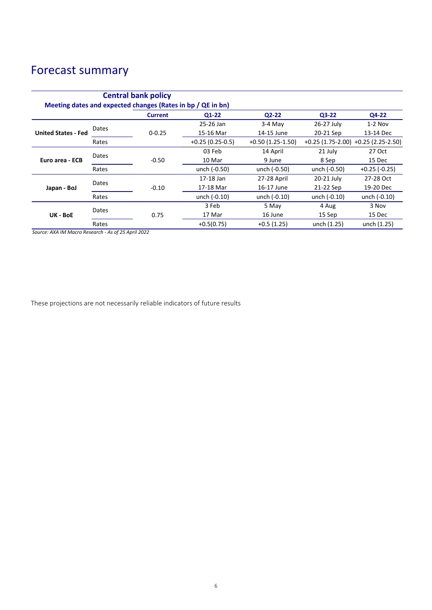## Forecast summary

|                            |       | <b>Central bank policy</b><br>Meeting dates and expected changes (Rates in bp / QE in bn) |                   |                    |              |                                         |
|----------------------------|-------|-------------------------------------------------------------------------------------------|-------------------|--------------------|--------------|-----------------------------------------|
|                            |       | <b>Current</b>                                                                            | 01-22             | $Q2-22$            | Q3-22        | Q4-22                                   |
| <b>United States - Fed</b> | Dates |                                                                                           | 25-26 Jan         | $3-4$ May          | 26-27 July   | $1-2$ Nov                               |
|                            |       | $0 - 0.25$                                                                                | 15-16 Mar         | 14-15 June         | 20-21 Sep    | 13-14 Dec                               |
|                            | Rates |                                                                                           | $+0.25(0.25-0.5)$ | $+0.50(1.25-1.50)$ |              | $+0.25$ (1.75-2.00) $+0.25$ (2.25-2.50) |
| Euro area - ECB            | Dates |                                                                                           | 03 Feb            | 14 April           | 21 July      | 27 Oct                                  |
|                            |       | $-0.50$                                                                                   | 10 Mar            | 9 June             | 8 Sep        | 15 Dec                                  |
|                            | Rates |                                                                                           | unch (-0.50)      | unch (-0.50)       | unch (-0.50) | $+0.25$ (-0.25)                         |
| Japan - BoJ                | Dates |                                                                                           | 17-18 Jan         | 27-28 April        | 20-21 July   | 27-28 Oct                               |
|                            |       | $-0.10$                                                                                   | 17-18 Mar         | 16-17 June         | 21-22 Sep    | 19-20 Dec                               |
|                            | Rates |                                                                                           | unch (-0.10)      | unch (-0.10)       | unch (-0.10) | unch (-0.10)                            |
| UK - BoE                   | Dates |                                                                                           | 3 Feb             | 5 May              | 4 Aug        | 3 Nov                                   |
|                            |       | 0.75                                                                                      | 17 Mar            | 16 June            | 15 Sep       | 15 Dec                                  |
|                            | Rates |                                                                                           | $+0.5(0.75)$      | $+0.5(1.25)$       | unch (1.25)  | unch (1.25)                             |

*Source: AXA IM Macro Research - As of 25 April 2022*

These projections are not necessarily reliable indicators of future results